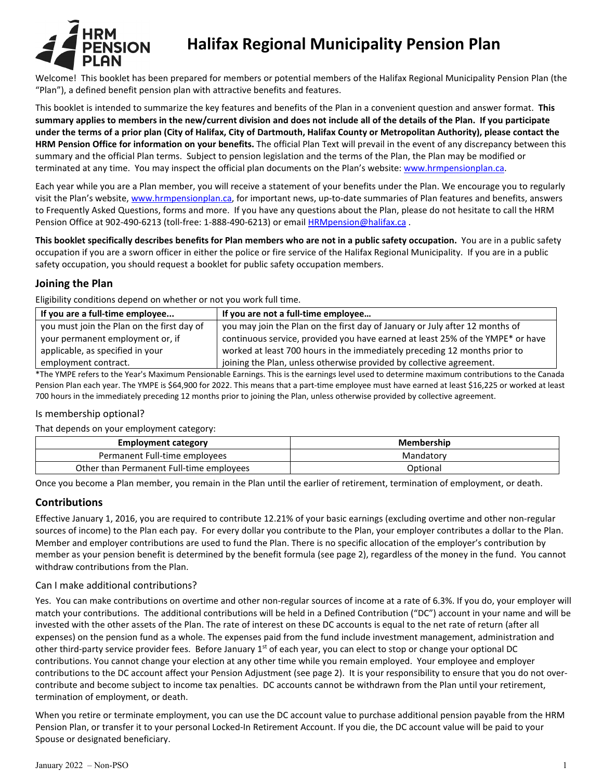

# **Halifax Regional Municipality Pension Plan**

Welcome! This booklet has been prepared for members or potential members of the Halifax Regional Municipality Pension Plan (the "Plan"), a defined benefit pension plan with attractive benefits and features.

This booklet is intended to summarize the key features and benefits of the Plan in a convenient question and answer format. **This summary applies to members in the new/current division and does not include all of the details of the Plan. If you participate under the terms of a prior plan (City of Halifax, City of Dartmouth, Halifax County or Metropolitan Authority), please contact the HRM Pension Office for information on your benefits.** The official Plan Text will prevail in the event of any discrepancy between this summary and the official Plan terms. Subject to pension legislation and the terms of the Plan, the Plan may be modified or terminated at any time. You may inspect the official plan documents on the Plan's website: [www.hrmpensionplan.ca.](http://www.hrmpensionplan.ca/) 

Each year while you are a Plan member, you will receive a statement of your benefits under the Plan. We encourage you to regularly visit the Plan's website[, www.hrmpensionplan.ca,](http://www.hrmpensionplan.ca/) for important news, up-to-date summaries of Plan features and benefits, answers to Frequently Asked Questions, forms and more. If you have any questions about the Plan, please do not hesitate to call the HRM Pension Office at 902-490-6213 (toll-free: 1-888-490-6213) or email **HRMpension@halifax.ca** .

**This booklet specifically describes benefits for Plan members who are not in a public safety occupation.** You are in a public safety occupation if you are a sworn officer in either the police or fire service of the Halifax Regional Municipality. If you are in a public safety occupation, you should request a booklet for public safety occupation members.

# **Joining the Plan**

Eligibility conditions depend on whether or not you work full time.

| If you are a full-time employee            | If you are not a full-time employee                                            |
|--------------------------------------------|--------------------------------------------------------------------------------|
| you must join the Plan on the first day of | you may join the Plan on the first day of January or July after 12 months of   |
| your permanent employment or, if           | continuous service, provided you have earned at least 25% of the YMPE* or have |
| applicable, as specified in your           | worked at least 700 hours in the immediately preceding 12 months prior to      |
| employment contract.                       | joining the Plan, unless otherwise provided by collective agreement.           |

\*The YMPE refers to the Year's Maximum Pensionable Earnings. This is the earnings level used to determine maximum contributions to the Canada Pension Plan each year. The YMPE is \$64,900 for 2022. This means that a part-time employee must have earned at least \$16,225 or worked at least 700 hours in the immediately preceding 12 months prior to joining the Plan, unless otherwise provided by collective agreement.

## Is membership optional?

That depends on your employment category:

| <b>Employment category</b>               | Membership |
|------------------------------------------|------------|
| Permanent Full-time employees            | Mandatory  |
| Other than Permanent Full-time employees | Optional   |

Once you become a Plan member, you remain in the Plan until the earlier of retirement, termination of employment, or death.

# **Contributions**

Effective January 1, 2016, you are required to contribute 12.21% of your basic earnings (excluding overtime and other non-regular sources of income) to the Plan each pay. For every dollar you contribute to the Plan, your employer contributes a dollar to the Plan. Member and employer contributions are used to fund the Plan. There is no specific allocation of the employer's contribution by member as your pension benefit is determined by the benefit formula (see page 2), regardless of the money in the fund. You cannot withdraw contributions from the Plan.

## Can I make additional contributions?

Yes. You can make contributions on overtime and other non-regular sources of income at a rate of 6.3%. If you do, your employer will match your contributions. The additional contributions will be held in a Defined Contribution ("DC") account in your name and will be invested with the other assets of the Plan. The rate of interest on these DC accounts is equal to the net rate of return (after all expenses) on the pension fund as a whole. The expenses paid from the fund include investment management, administration and other third-party service provider fees. Before January 1<sup>st</sup> of each year, you can elect to stop or change your optional DC contributions. You cannot change your election at any other time while you remain employed. Your employee and employer contributions to the DC account affect your Pension Adjustment (see page 2). It is your responsibility to ensure that you do not overcontribute and become subject to income tax penalties. DC accounts cannot be withdrawn from the Plan until your retirement, termination of employment, or death.

When you retire or terminate employment, you can use the DC account value to purchase additional pension payable from the HRM Pension Plan, or transfer it to your personal Locked-In Retirement Account. If you die, the DC account value will be paid to your Spouse or designated beneficiary.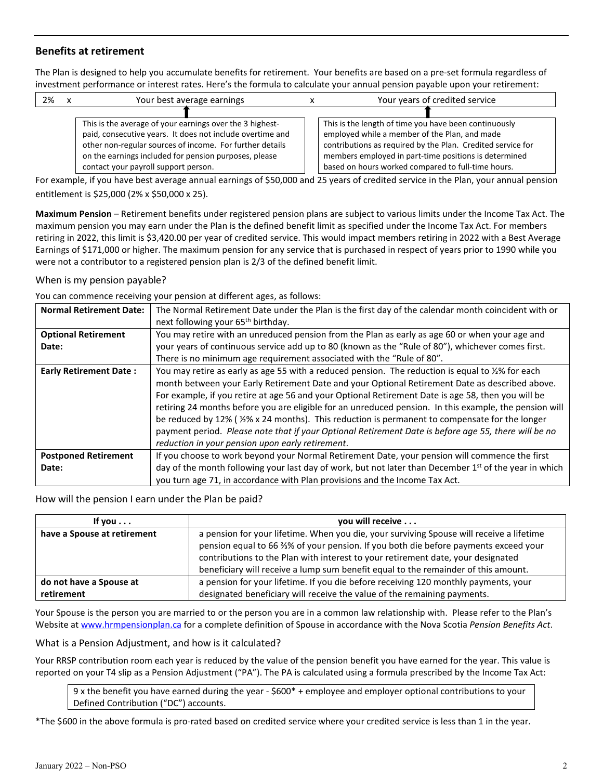# **Benefits at retirement**

The Plan is designed to help you accumulate benefits for retirement. Your benefits are based on a pre-set formula regardless of investment performance or interest rates. Here's the formula to calculate your annual pension payable upon your retirement:

| 2% |                                                                                                                                        | Your best average earnings                                                                                                                                                                                             |  | Your years of credited service                                                                                                                                                                                              |
|----|----------------------------------------------------------------------------------------------------------------------------------------|------------------------------------------------------------------------------------------------------------------------------------------------------------------------------------------------------------------------|--|-----------------------------------------------------------------------------------------------------------------------------------------------------------------------------------------------------------------------------|
|    |                                                                                                                                        | This is the average of your earnings over the 3 highest-                                                                                                                                                               |  | This is the length of time you have been continuously                                                                                                                                                                       |
|    |                                                                                                                                        | paid, consecutive years. It does not include overtime and<br>other non-regular sources of income. For further details<br>on the earnings included for pension purposes, please<br>contact your payroll support person. |  | employed while a member of the Plan, and made<br>contributions as required by the Plan. Credited service for<br>members employed in part-time positions is determined<br>based on hours worked compared to full-time hours. |
|    | For example, if you have best average annual earnings of $550,000$ and $25$ years of credited service in the Plan, your annual pension |                                                                                                                                                                                                                        |  |                                                                                                                                                                                                                             |

For example, if you have best average annual earnings of \$50,000 and 25 years of credited service in the Plan, your annual pension entitlement is \$25,000 (2% x \$50,000 x 25).

**Maximum Pension** – Retirement benefits under registered pension plans are subject to various limits under the Income Tax Act. The maximum pension you may earn under the Plan is the defined benefit limit as specified under the Income Tax Act. For members retiring in 2022, this limit is \$3,420.00 per year of credited service. This would impact members retiring in 2022 with a Best Average Earnings of \$171,000 or higher. The maximum pension for any service that is purchased in respect of years prior to 1990 while you were not a contributor to a registered pension plan is 2/3 of the defined benefit limit.

When is my pension payable?

You can commence receiving your pension at different ages, as follows:

| <b>Normal Retirement Date:</b> | The Normal Retirement Date under the Plan is the first day of the calendar month coincident with or                                                                                                                                                                                                                                                                                                                                                                                                                                                                                                                                                                                         |  |  |  |
|--------------------------------|---------------------------------------------------------------------------------------------------------------------------------------------------------------------------------------------------------------------------------------------------------------------------------------------------------------------------------------------------------------------------------------------------------------------------------------------------------------------------------------------------------------------------------------------------------------------------------------------------------------------------------------------------------------------------------------------|--|--|--|
|                                | next following your 65 <sup>th</sup> birthday.                                                                                                                                                                                                                                                                                                                                                                                                                                                                                                                                                                                                                                              |  |  |  |
| <b>Optional Retirement</b>     | You may retire with an unreduced pension from the Plan as early as age 60 or when your age and                                                                                                                                                                                                                                                                                                                                                                                                                                                                                                                                                                                              |  |  |  |
| Date:                          | your years of continuous service add up to 80 (known as the "Rule of 80"), whichever comes first.                                                                                                                                                                                                                                                                                                                                                                                                                                                                                                                                                                                           |  |  |  |
|                                | There is no minimum age requirement associated with the "Rule of 80".                                                                                                                                                                                                                                                                                                                                                                                                                                                                                                                                                                                                                       |  |  |  |
| <b>Early Retirement Date:</b>  | You may retire as early as age 55 with a reduced pension. The reduction is equal to %% for each<br>month between your Early Retirement Date and your Optional Retirement Date as described above.<br>For example, if you retire at age 56 and your Optional Retirement Date is age 58, then you will be<br>retiring 24 months before you are eligible for an unreduced pension. In this example, the pension will<br>be reduced by 12% ( $\frac{1}{2}\%$ x 24 months). This reduction is permanent to compensate for the longer<br>payment period. Please note that if your Optional Retirement Date is before age 55, there will be no<br>reduction in your pension upon early retirement. |  |  |  |
| <b>Postponed Retirement</b>    | If you choose to work beyond your Normal Retirement Date, your pension will commence the first                                                                                                                                                                                                                                                                                                                                                                                                                                                                                                                                                                                              |  |  |  |
| Date:                          | day of the month following your last day of work, but not later than December 1 <sup>st</sup> of the year in which<br>you turn age 71, in accordance with Plan provisions and the Income Tax Act.                                                                                                                                                                                                                                                                                                                                                                                                                                                                                           |  |  |  |

How will the pension I earn under the Plan be paid?

| If you $\dots$                        | you will receive                                                                                                                                                                                                                                                                                                                                          |  |
|---------------------------------------|-----------------------------------------------------------------------------------------------------------------------------------------------------------------------------------------------------------------------------------------------------------------------------------------------------------------------------------------------------------|--|
| have a Spouse at retirement           | a pension for your lifetime. When you die, your surviving Spouse will receive a lifetime<br>pension equal to 66 %% of your pension. If you both die before payments exceed your<br>contributions to the Plan with interest to your retirement date, your designated<br>beneficiary will receive a lump sum benefit equal to the remainder of this amount. |  |
| do not have a Spouse at<br>retirement | a pension for your lifetime. If you die before receiving 120 monthly payments, your<br>designated beneficiary will receive the value of the remaining payments.                                                                                                                                                                                           |  |

Your Spouse is the person you are married to or the person you are in a common law relationship with. Please refer to the Plan's Website a[t www.hrmpensionplan.ca](http://www.hrmpensionplan.ca/) for a complete definition of Spouse in accordance with the Nova Scotia *Pension Benefits Act*.

What is a Pension Adjustment, and how is it calculated?

Your RRSP contribution room each year is reduced by the value of the pension benefit you have earned for the year. This value is reported on your T4 slip as a Pension Adjustment ("PA"). The PA is calculated using a formula prescribed by the Income Tax Act:

9 x the benefit you have earned during the year - \$600\* + employee and employer optional contributions to your Defined Contribution ("DC") accounts.

\*The \$600 in the above formula is pro-rated based on credited service where your credited service is less than 1 in the year.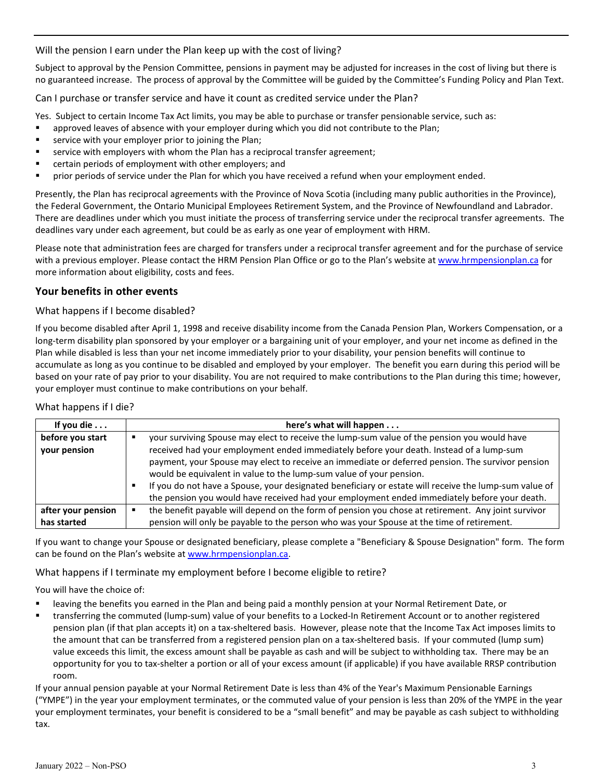Will the pension I earn under the Plan keep up with the cost of living?

Subject to approval by the Pension Committee, pensions in payment may be adjusted for increases in the cost of living but there is no guaranteed increase. The process of approval by the Committee will be guided by the Committee's Funding Policy and Plan Text.

Can I purchase or transfer service and have it count as credited service under the Plan?

Yes. Subject to certain Income Tax Act limits, you may be able to purchase or transfer pensionable service, such as:

- approved leaves of absence with your employer during which you did not contribute to the Plan;
- **EXECT** service with your employer prior to joining the Plan;
- service with employers with whom the Plan has a reciprocal transfer agreement;
- certain periods of employment with other employers; and
- prior periods of service under the Plan for which you have received a refund when your employment ended.

Presently, the Plan has reciprocal agreements with the Province of Nova Scotia (including many public authorities in the Province), the Federal Government, the Ontario Municipal Employees Retirement System, and the Province of Newfoundland and Labrador. There are deadlines under which you must initiate the process of transferring service under the reciprocal transfer agreements. The deadlines vary under each agreement, but could be as early as one year of employment with HRM.

Please note that administration fees are charged for transfers under a reciprocal transfer agreement and for the purchase of service with a previous employer. Please contact the HRM Pension Plan Office or go to the Plan's website at [www.hrmpensionplan.ca](http://www.hrmpensionplan.ca/) for more information about eligibility, costs and fees.

## **Your benefits in other events**

## What happens if I become disabled?

If you become disabled after April 1, 1998 and receive disability income from the Canada Pension Plan, Workers Compensation, or a long-term disability plan sponsored by your employer or a bargaining unit of your employer, and your net income as defined in the Plan while disabled is less than your net income immediately prior to your disability, your pension benefits will continue to accumulate as long as you continue to be disabled and employed by your employer. The benefit you earn during this period will be based on your rate of pay prior to your disability. You are not required to make contributions to the Plan during this time; however, your employer must continue to make contributions on your behalf.

#### What happens if I die?

| If you die $\ldots$ | here's what will happen                                                                               |
|---------------------|-------------------------------------------------------------------------------------------------------|
| before you start    | your surviving Spouse may elect to receive the lump-sum value of the pension you would have           |
| your pension        | received had your employment ended immediately before your death. Instead of a lump-sum               |
|                     | payment, your Spouse may elect to receive an immediate or deferred pension. The survivor pension      |
|                     | would be equivalent in value to the lump-sum value of your pension.                                   |
|                     | If you do not have a Spouse, your designated beneficiary or estate will receive the lump-sum value of |
|                     | the pension you would have received had your employment ended immediately before your death.          |
| after your pension  | the benefit payable will depend on the form of pension you chose at retirement. Any joint survivor    |
| has started         | pension will only be payable to the person who was your Spouse at the time of retirement.             |

If you want to change your Spouse or designated beneficiary, please complete a "Beneficiary & Spouse Designation" form. The form can be found on the Plan's website a[t www.hrmpensionplan.ca.](http://www.hrmpensionplan.ca/)

What happens if I terminate my employment before I become eligible to retire?

You will have the choice of:

- leaving the benefits you earned in the Plan and being paid a monthly pension at your Normal Retirement Date, or
- transferring the commuted (lump-sum) value of your benefits to a Locked-In Retirement Account or to another registered pension plan (if that plan accepts it) on a tax-sheltered basis. However, please note that the Income Tax Act imposes limits to the amount that can be transferred from a registered pension plan on a tax-sheltered basis. If your commuted (lump sum) value exceeds this limit, the excess amount shall be payable as cash and will be subject to withholding tax. There may be an opportunity for you to tax-shelter a portion or all of your excess amount (if applicable) if you have available RRSP contribution room.

If your annual pension payable at your Normal Retirement Date is less than 4% of the Year's Maximum Pensionable Earnings ("YMPE") in the year your employment terminates, or the commuted value of your pension is less than 20% of the YMPE in the year your employment terminates, your benefit is considered to be a "small benefit" and may be payable as cash subject to withholding tax.